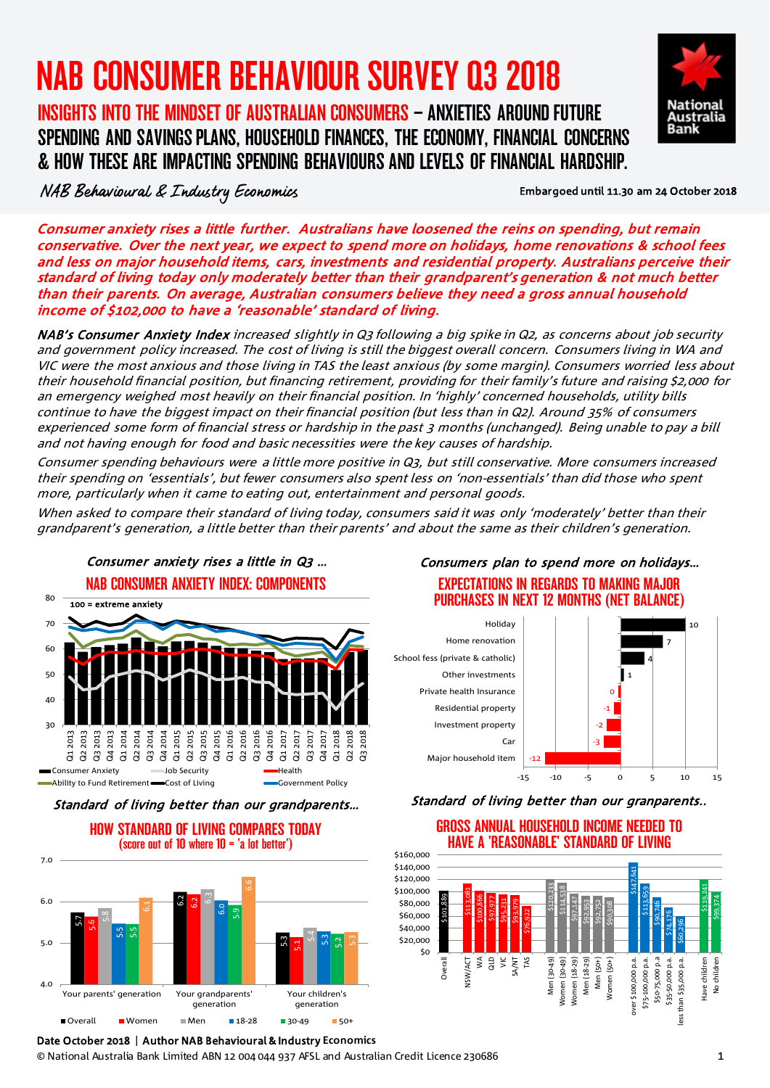# NAB CONSUMER BEHAVIOUR SURVEY Q3 2018

# INSIGHTS INTO THE MINDSET OF AUSTRALIAN CONSUMERS – ANXIETIES AROUND FUTURE SPENDING AND SAVINGSPLANS, HOUSEHOLD FINANCES, THE ECONOMY, FINANCIAL CONCERNS & HOW THESE ARE IMPACTING SPENDING BEHAVIOURS AND LEVELS OF FINANCIAL HARDSHIP.



NAB Behavioural & Industry Economics

### Embargoed until 11.30 am 24 October 2018

Consumer anxiety rises a little further. Australians have loosened the reins on spending, but remain conservative. Over the next year, we expect to spend more on holidays, home renovations & school fees and less on major household items, cars, investments and residential property. Australians perceive their standard of living today only moderately better than their grandparent's generation & not much better than their parents. On average, Australian consumers believe they need a gross annual household income of \$102,000 to have a 'reasonable' standard of living.

NAB's Consumer Anxiety Index increased slightly in Q3 following a big spike in Q2, as concerns about job security and government policy increased. The cost of living is still the biggest overall concern. Consumers living in WA and VIC were the most anxious and those living in TAS the least anxious (by some margin). Consumers worried less about their household financial position, but financing retirement, providing for their family's future and raising \$2,000 for an emergency weighed most heavily on their financial position. In 'highly' concerned households, utility bills continue to have the biggest impact on their financial position (but less than in Q2). Around 35% of consumers experienced some form of financial stress or hardship in the past 3 months (unchanged). Being unable to pay a bill and not having enough for food and basic necessities were the key causes of hardship.

Consumer spending behaviours were a little more positive in Q3, but still conservative. More consumers increased their spending on 'essentials', but fewer consumers also spent less on 'non-essentials' than did those who spent more, particularly when it came to eating out, entertainment and personal goods.

When asked to compare their standard of living today, consumers said it was only 'moderately' better than their grandparent's generation, a little better than their parents' and about the same as their children's generation.



Standard of living better than our grandparents…



### Consumers plan to spend more on holidays… EXPECTATIONS IN REGARDS TO MAKING MAJOR PURCHASES IN NEXT 12 MONTHS (NET BALANCE)



Standard of living better than our granparents..



# GROSS ANNUAL HOUSEHOLD INCOME NEEDED TO

Date October 2018 | Author NAB Behavioural & Industry **Economics**

© National Australia Bank Limited ABN 12 004 044 937 AFSL and Australian Credit Licence 230686 1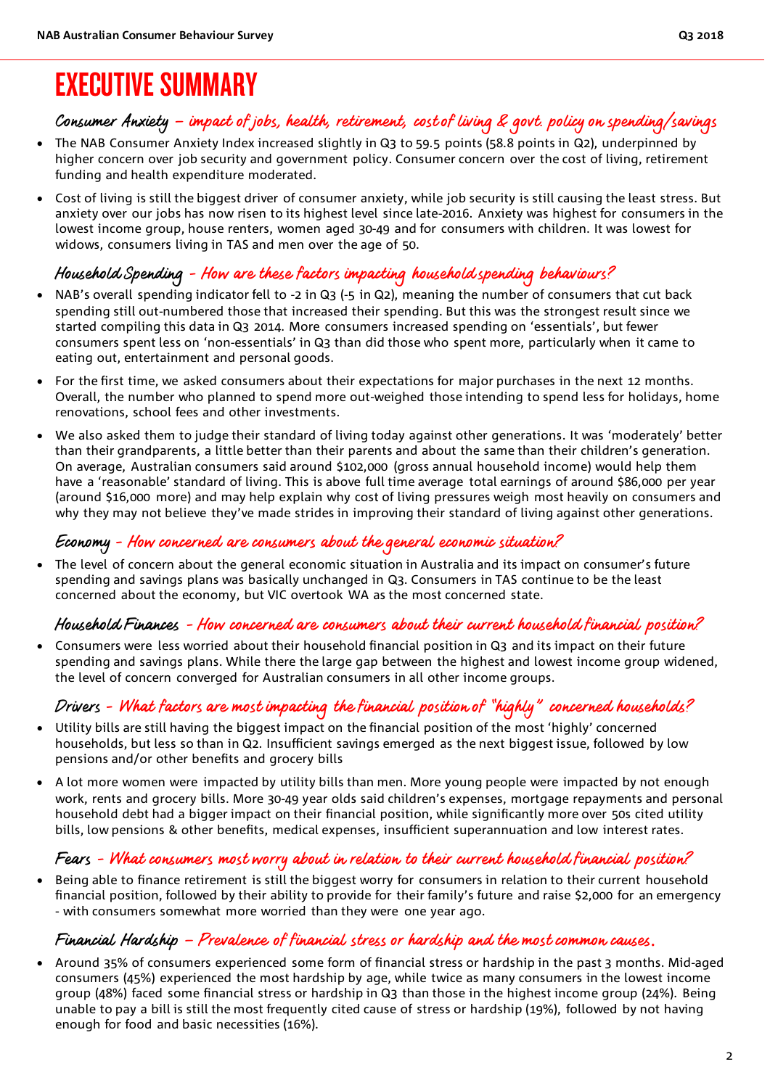# Consumer Anxiety – impact of jobs, health, retirement, cost of living & govt. policy on spending/savings

- The NAB Consumer Anxiety Index increased slightly in Q3 to 59.5 points (58.8 points in Q2), underpinned by higher concern over job security and government policy. Consumer concern over the cost of living, retirement funding and health expenditure moderated.
- Cost of living is still the biggest driver of consumer anxiety, while job security is still causing the least stress. But anxiety over our jobs has now risen to its highest level since late-2016. Anxiety was highest for consumers in the lowest income group, house renters, women aged 30-49 and for consumers with children. It was lowest for widows, consumers living in TAS and men over the age of 50.

# Household Spending - How are these factors impacting household spending behaviours?

- NAB's overall spending indicator fell to -2 in Q3 (-5 in Q2), meaning the number of consumers that cut back spending still out-numbered those that increased their spending. But this was the strongest result since we started compiling this data in Q3 2014. More consumers increased spending on 'essentials', but fewer consumers spent less on 'non-essentials' in Q3 than did those who spent more, particularly when it came to eating out, entertainment and personal goods.
- For the first time, we asked consumers about their expectations for major purchases in the next 12 months. Overall, the number who planned to spend more out-weighed those intending to spend less for holidays, home renovations, school fees and other investments.
- We also asked them to judge their standard of living today against other generations. It was 'moderately' better than their grandparents, a little better than their parents and about the same than their children's generation. On average, Australian consumers said around \$102,000 (gross annual household income) would help them have a 'reasonable' standard of living. This is above full time average total earnings of around \$86,000 per year (around \$16,000 more) and may help explain why cost of living pressures weigh most heavily on consumers and why they may not believe they've made strides in improving their standard of living against other generations.

# Economy - How concerned are consumers about the general economic situation?

• The level of concern about the general economic situation in Australia and its impact on consumer's future spending and savings plans was basically unchanged in Q3. Consumers in TAS continue to be the least concerned about the economy, but VIC overtook WA as the most concerned state.

### Household Finances - How concerned are consumers about their current household financial position?

• Consumers were less worried about their household financial position in Q3 and its impact on their future spending and savings plans. While there the large gap between the highest and lowest income group widened, the level of concern converged for Australian consumers in all other income groups.

# Drivers - What factors are most impacting the financial position of "highly" concerned households?

- Utility bills are still having the biggest impact on the financial position of the most 'highly' concerned households, but less so than in Q2. Insufficient savings emerged as the next biggest issue, followed by low pensions and/or other benefits and grocery bills
- A lot more women were impacted by utility bills than men. More young people were impacted by not enough work, rents and grocery bills. More 30-49 year olds said children's expenses, mortgage repayments and personal household debt had a bigger impact on their financial position, while significantly more over 50s cited utility bills, low pensions & other benefits, medical expenses, insufficient superannuation and low interest rates.

# Fears - What consumers most worry about in relation to their current household financial position?

• Being able to finance retirement is still the biggest worry for consumers in relation to their current household financial position, followed by their ability to provide for their family's future and raise \$2,000 for an emergency - with consumers somewhat more worried than they were one year ago.

## Financial Hardship – Prevalence of financial stress or hardship and the most common causes.

• Around 35% of consumers experienced some form of financial stress or hardship in the past 3 months. Mid-aged consumers (45%) experienced the most hardship by age, while twice as many consumers in the lowest income group (48%) faced some financial stress or hardship in Q3 than those in the highest income group (24%). Being unable to pay a bill is still the most frequently cited cause of stress or hardship (19%), followed by not having enough for food and basic necessities (16%).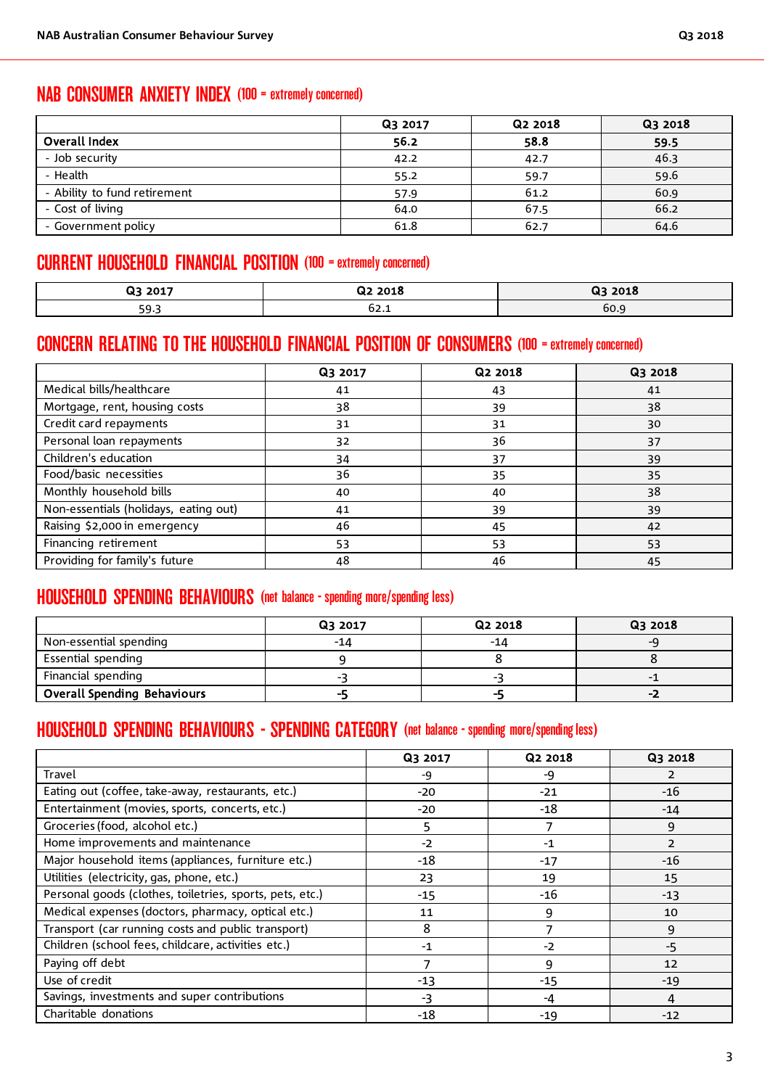# NAB CONSUMER ANXIETY INDEX (100 = extremely concerned)

|                              | Q3 2017 | Q <sub>2</sub> 2018 | Q3 2018 |  |
|------------------------------|---------|---------------------|---------|--|
| Overall Index                | 56.2    | 58.8                | 59.5    |  |
| - Job security               | 42.2    | 42.7                | 46.3    |  |
| - Health                     | 55.2    | 59.7                | 59.6    |  |
| - Ability to fund retirement | 57.9    | 61.2                | 60.9    |  |
| - Cost of living             | 64.0    | 67.5                | 66.2    |  |
| - Government policy          | 61.8    | 62.7                | 64.6    |  |

# CURRENT HOUSEHOLD FINANCIAL POSITION (100 = extremely concerned)

| 23 2017     | Q2 2018 | 2018<br>Q3 |
|-------------|---------|------------|
| г∩.<br>כ פכ | 02.I    | 60.9       |

# CONCERN RELATING TO THE HOUSEHOLD FINANCIAL POSITION OF CONSUMERS (100 = extremely concerned)

|                                       | Q3 2017 | Q2 2018 | Q3 2018 |
|---------------------------------------|---------|---------|---------|
| Medical bills/healthcare              | 41      | 43      | 41      |
| Mortgage, rent, housing costs         | 38      | 39      | 38      |
| Credit card repayments                | 31      | 31      | 30      |
| Personal loan repayments              | 32      | 36      | 37      |
| Children's education                  | 34      | 37      | 39      |
| Food/basic necessities                | 36      | 35      | 35      |
| Monthly household bills               | 40      | 40      | 38      |
| Non-essentials (holidays, eating out) | 41      | 39      | 39      |
| Raising \$2,000 in emergency          | 46      | 45      | 42      |
| Financing retirement                  | 53      | 53      | 53      |
| Providing for family's future         | 48      | 46      | 45      |

# HOUSEHOLD SPENDING BEHAVIOURS (net balance - spending more/spending less)

|                                    | Q3 2017 | Q2 2018 | Q3 2018 |  |
|------------------------------------|---------|---------|---------|--|
| Non-essential spending             | -14     | -14     | -u      |  |
| Essential spending                 |         |         |         |  |
| Financial spending                 |         |         |         |  |
| <b>Overall Spending Behaviours</b> | --      |         | -2      |  |

# HOUSEHOLD SPENDING BEHAVIOURS - SPENDING CATEGORY (net balance - spending more/spending less)

|                                                          | Q3 2017 | Q2 2018 | Q3 2018        |
|----------------------------------------------------------|---------|---------|----------------|
| Travel                                                   | -9      | -9      | 2              |
| Eating out (coffee, take-away, restaurants, etc.)        | $-20$   | $-21$   | $-16$          |
| Entertainment (movies, sports, concerts, etc.)           | $-20$   | -18     | $-14$          |
| Groceries (food, alcohol etc.)                           | 5       |         | 9              |
| Home improvements and maintenance                        | $-2$    | $-1$    | $\overline{2}$ |
| Major household items (appliances, furniture etc.)       | $-18$   | $-17$   | -16            |
| Utilities (electricity, gas, phone, etc.)                | 23      | 19      | 15             |
| Personal goods (clothes, toiletries, sports, pets, etc.) | $-15$   | -16     | $-13$          |
| Medical expenses (doctors, pharmacy, optical etc.)       | 11      | 9       | 10             |
| Transport (car running costs and public transport)       | 8       | 7       | 9              |
| Children (school fees, childcare, activities etc.)       | $-1$    | $-2$    | -5             |
| Paying off debt                                          |         | 9       | 12             |
| Use of credit                                            | $-13$   | $-15$   | $-19$          |
| Savings, investments and super contributions             | -3      | -4      | 4              |
| Charitable donations                                     | -18     | $-19$   | $-12$          |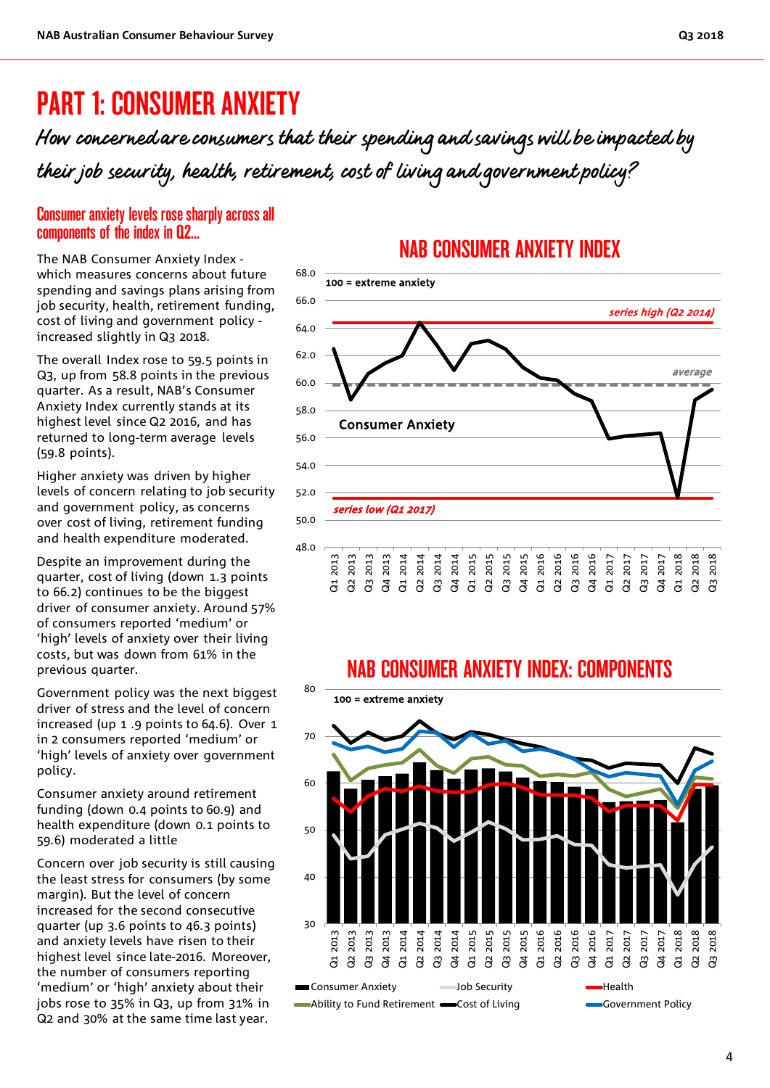# PART 1: CONSUMER ANXIETY

How concerned are consumers that their spending and savings will be impacted by their job security, health, retirement, cost of living and government policy?

### Consumer anxiety levels rose sharply across all components of the index in Q2...

The NAB Consumer Anxiety Index which measures concerns about future spending and savings plans arising from job security, health, retirement funding, cost of living and government policy increased slightly in Q3 2018.

The overall Index rose to 59.5 points in Q3, up from 58.8 points in the previous quarter. As a result, NAB's Consumer Anxiety Index currently stands at its highest level since Q2 2016, and has returned to long-term average levels (59.8 points).

Higher anxiety was driven by higher levels of concern relating to job security and government policy, as concerns over cost of living, retirement funding and health expenditure moderated.

Despite an improvement during the quarter, cost of living (down 1.3 points to 66.2) continues to be the biggest driver of consumer anxiety. Around 57% of consumers reported 'medium' or 'high' levels of anxiety over their living costs, but was down from 61% in the previous quarter.

Government policy was the next biggest driver of stress and the level of concern increased (up 1 .9 points to 64.6). Over 1 in 2 consumers reported 'medium' or 'high' levels of anxiety over government policy.

Consumer anxiety around retirement funding (down 0.4 points to 60.9) and health expenditure (down 0.1 points to 59.6) moderated a little

Concern over job security is still causing the least stress for consumers (by some margin). But the level of concern increased for the second consecutive quarter (up 3.6 points to 46.3 points) and anxiety levels have risen to their highest level since late-2016. Moreover, the number of consumers reporting 'medium' or 'high' anxiety about their jobs rose to 35% in Q3, up from 31% in Q2 and 30% at the same time last year.

# NAB CONSUMER ANXIETY INDEX



# NAB CONSUMER ANXIETY INDEX: COMPONENTS

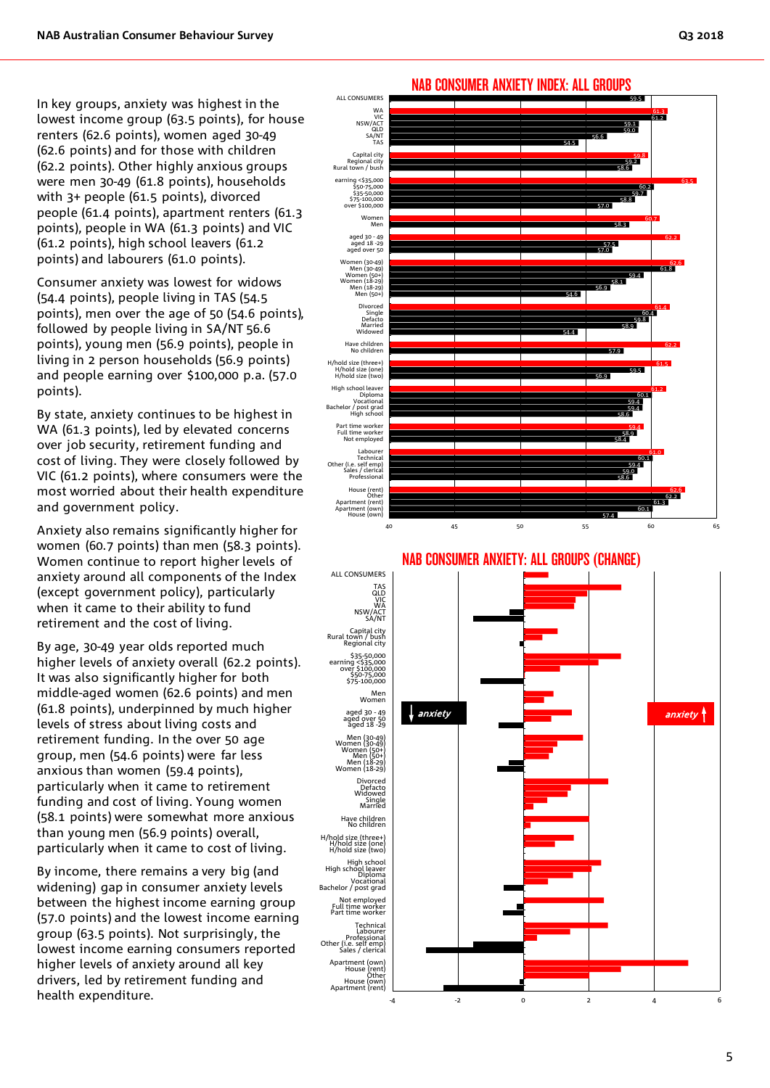In key groups, anxiety was highest in the lowest income group (63.5 points), for house renters (62.6 points), women aged 30-49 (62.6 points) and for those with children (62.2 points). Other highly anxious groups were men 30-49 (61.8 points), households with 3+ people (61.5 points), divorced people (61.4 points), apartment renters (61.3 points), people in WA (61.3 points) and VIC (61.2 points), high school leavers (61.2 points) and labourers (61.0 points).

Consumer anxiety was lowest for widows (54.4 points), people living in TAS (54.5 points), men over the age of 50 (54.6 points), followed by people living in SA/NT 56.6 points), young men (56.9 points), people in living in 2 person households (56.9 points) and people earning over \$100,000 p.a. (57.0 points).

By state, anxiety continues to be highest in WA (61.3 points), led by elevated concerns over job security, retirement funding and cost of living. They were closely followed by VIC (61.2 points), where consumers were the most worried about their health expenditure and government policy.

Anxiety also remains significantly higher for women (60.7 points) than men (58.3 points). Women continue to report higher levels of anxiety around all components of the Index (except government policy), particularly when it came to their ability to fund retirement and the cost of living.

By age, 30-49 year olds reported much higher levels of anxiety overall (62.2 points). It was also significantly higher for both middle-aged women (62.6 points) and men (61.8 points), underpinned by much higher levels of stress about living costs and retirement funding. In the over 50 age group, men (54.6 points) were far less anxious than women (59.4 points), particularly when it came to retirement funding and cost of living. Young women (58.1 points) were somewhat more anxious than young men (56.9 points) overall, particularly when it came to cost of living.

By income, there remains a very big (and widening) gap in consumer anxiety levels between the highest income earning group (57.0 points) and the lowest income earning group (63.5 points). Not surprisingly, the lowest income earning consumers reported higher levels of anxiety around all key drivers, led by retirement funding and health expenditure.



### NAB CONSUMER ANXIETY INDEX: ALL GROUPS



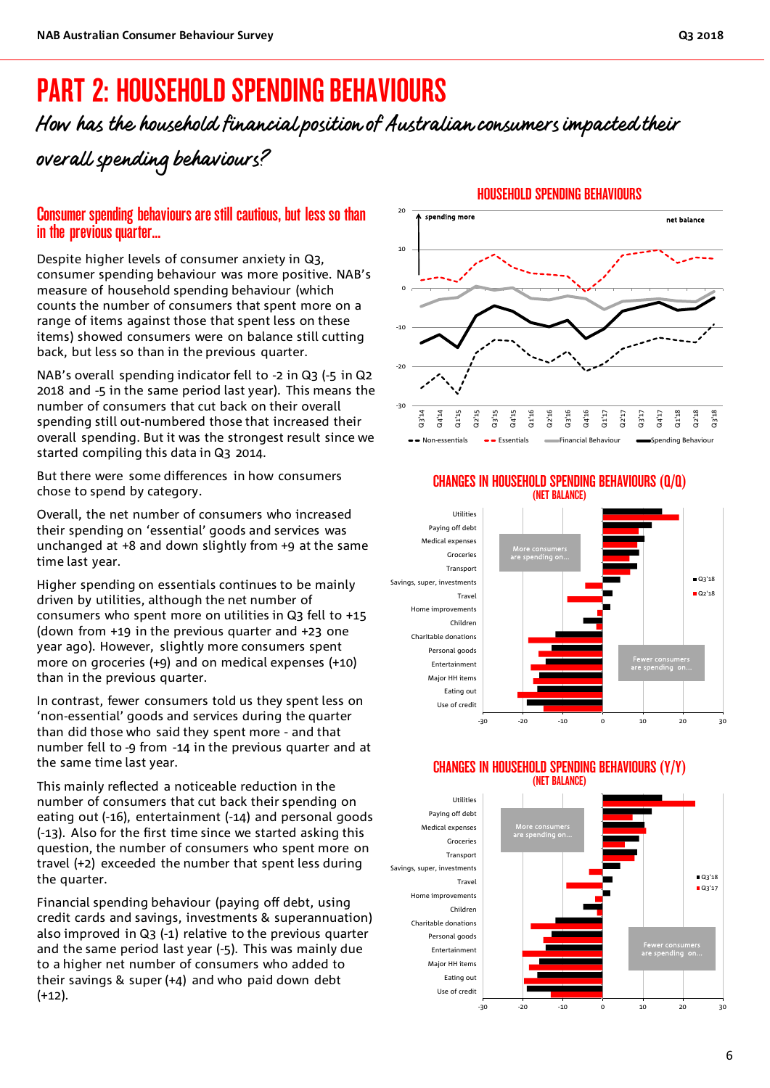# PART 2: HOUSEHOLD SPENDING BEHAVIOURS

How has the household financial position of Australian consumers impacted their overall spending behaviours?

## Consumer spending behaviours are still cautious, but less so than in the previous quarter...

Despite higher levels of consumer anxiety in Q3, consumer spending behaviour was more positive. NAB's measure of household spending behaviour (which counts the number of consumers that spent more on a range of items against those that spent less on these items) showed consumers were on balance still cutting back, but less so than in the previous quarter.

NAB's overall spending indicator fell to -2 in Q3 (-5 in Q2 2018 and -5 in the same period last year). This means the number of consumers that cut back on their overall spending still out-numbered those that increased their overall spending. But it was the strongest result since we started compiling this data in Q3 2014.

But there were some differences in how consumers chose to spend by category.

Overall, the net number of consumers who increased their spending on 'essential' goods and services was unchanged at +8 and down slightly from +9 at the same time last year.

Higher spending on essentials continues to be mainly driven by utilities, although the net number of consumers who spent more on utilities in Q3 fell to +15 (down from +19 in the previous quarter and +23 one year ago). However, slightly more consumers spent more on groceries (+9) and on medical expenses (+10) than in the previous quarter.

In contrast, fewer consumers told us they spent less on 'non-essential' goods and services during the quarter than did those who said they spent more - and that number fell to -9 from -14 in the previous quarter and at the same time last year.

This mainly reflected a noticeable reduction in the number of consumers that cut back their spending on eating out (-16), entertainment (-14) and personal goods (-13). Also for the first time since we started asking this question, the number of consumers who spent more on travel (+2) exceeded the number that spent less during the quarter.

Financial spending behaviour (paying off debt, using credit cards and savings, investments & superannuation) also improved in Q3 (-1) relative to the previous quarter and the same period last year (-5). This was mainly due to a higher net number of consumers who added to their savings & super (+4) and who paid down debt  $(+12)$ .



#### CHANGES IN HOUSEHOLD SPENDING BEHAVIOURS (Q/Q) (NET BALANCE)



#### CHANGES IN HOUSEHOLD SPENDING BEHAVIOURS (Y/Y) (NET BALANCE)

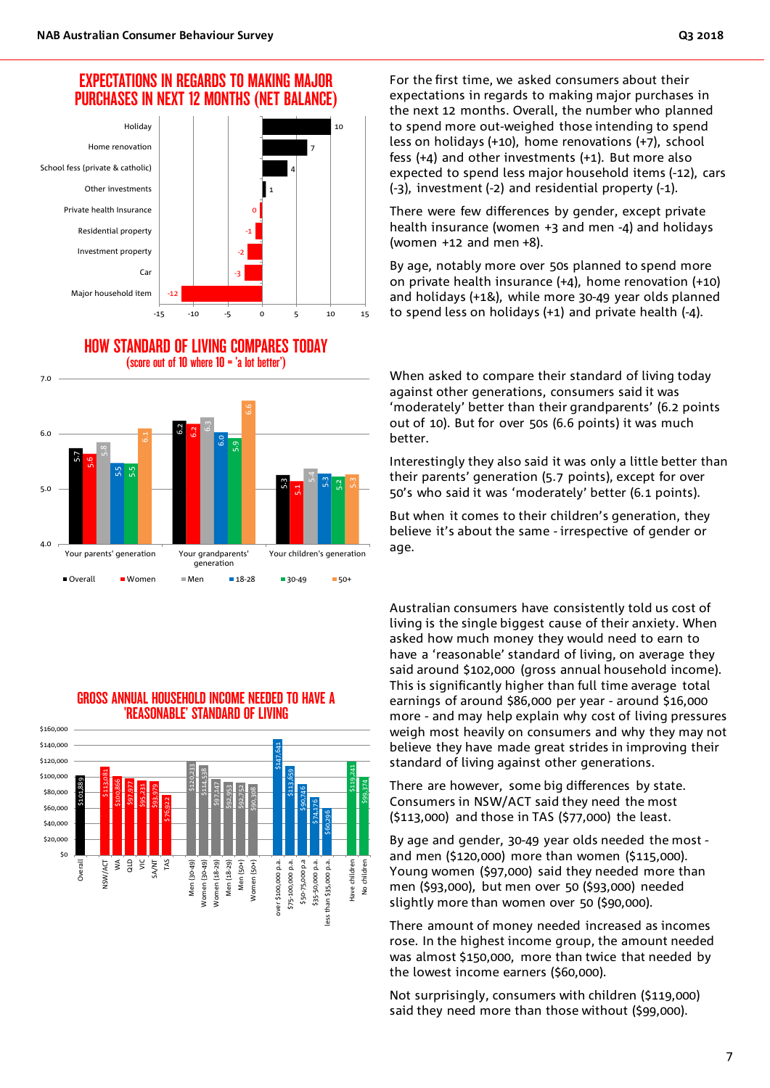### EXPECTATIONS IN REGARDS TO MAKING MAJOR PURCHASES IN NEXT 12 MONTHS (NET BALANCE)



HOW STANDARD OF LIVING COMPARES TODAY (score out of 10 where 10 = 'a lot better')



### GROSS ANNUAL HOUSEHOLD INCOME NEEDED TO HAVE A 'REASONABLE' STANDARD OF LIVING



For the first time, we asked consumers about their expectations in regards to making major purchases in the next 12 months. Overall, the number who planned to spend more out-weighed those intending to spend less on holidays (+10), home renovations (+7), school fess (+4) and other investments (+1). But more also expected to spend less major household items (-12), cars (-3), investment (-2) and residential property (-1).

There were few differences by gender, except private health insurance (women +3 and men -4) and holidays (women +12 and men +8).

By age, notably more over 50s planned to spend more on private health insurance (+4), home renovation (+10) and holidays (+1&), while more 30-49 year olds planned to spend less on holidays (+1) and private health (-4).

When asked to compare their standard of living today against other generations, consumers said it was 'moderately' better than their grandparents' (6.2 points out of 10). But for over 50s (6.6 points) it was much better.

Interestingly they also said it was only a little better than their parents' generation (5.7 points), except for over 50's who said it was 'moderately' better (6.1 points).

But when it comes to their children's generation, they believe it's about the same - irrespective of gender or age.

Australian consumers have consistently told us cost of living is the single biggest cause of their anxiety. When asked how much money they would need to earn to have a 'reasonable' standard of living, on average they said around \$102,000 (gross annual household income). This is significantly higher than full time average total earnings of around \$86,000 per year - around \$16,000 more - and may help explain why cost of living pressures weigh most heavily on consumers and why they may not believe they have made great strides in improving their standard of living against other generations.

There are however, some big differences by state. Consumers in NSW/ACT said they need the most (\$113,000) and those in TAS (\$77,000) the least.

By age and gender, 30-49 year olds needed the most and men (\$120,000) more than women (\$115,000). Young women (\$97,000) said they needed more than men (\$93,000), but men over 50 (\$93,000) needed slightly more than women over 50 (\$90,000).

There amount of money needed increased as incomes rose. In the highest income group, the amount needed was almost \$150,000, more than twice that needed by the lowest income earners (\$60,000).

Not surprisingly, consumers with children (\$119,000) said they need more than those without (\$99,000).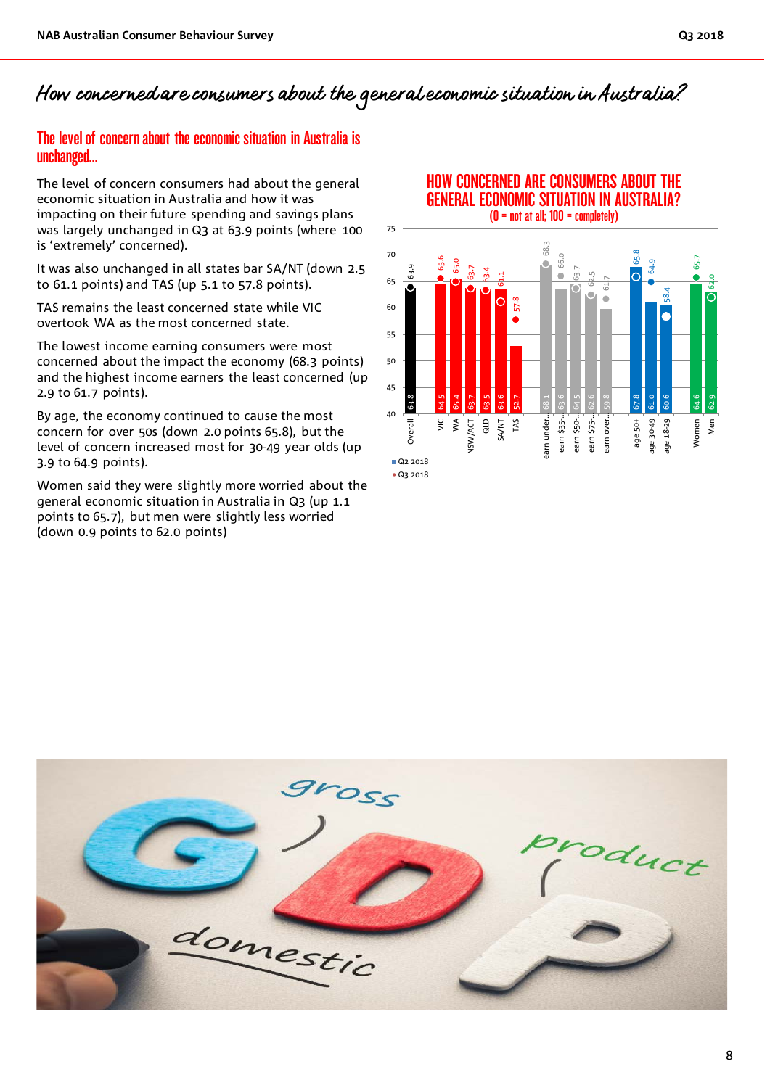# How concerned are consumers about the general economic situation in Australia?

### The level of concern about the economic situation in Australia is unchanged…

The level of concern consumers had about the general economic situation in Australia and how it was impacting on their future spending and savings plans was largely unchanged in Q3 at 63.9 points (where 100 is 'extremely' concerned).

It was also unchanged in all states bar SA/NT (down 2.5 to 61.1 points) and TAS (up 5.1 to 57.8 points).

TAS remains the least concerned state while VIC overtook WA as the most concerned state.

The lowest income earning consumers were most concerned about the impact the economy (68.3 points) and the highest income earners the least concerned (up 2.9 to 61.7 points).

By age, the economy continued to cause the most concern for over 50s (down 2.0 points 65.8), but the level of concern increased most for 30-49 year olds (up 3.9 to 64.9 points).

Women said they were slightly more worried about the general economic situation in Australia in Q3 (up 1.1 points to 65.7), but men were slightly less worried (down 0.9 points to 62.0 points)

## HOW CONCERNED ARE CONSUMERS ABOUT THE GENERAL ECONOMIC SITUATION IN AUSTRALIA?



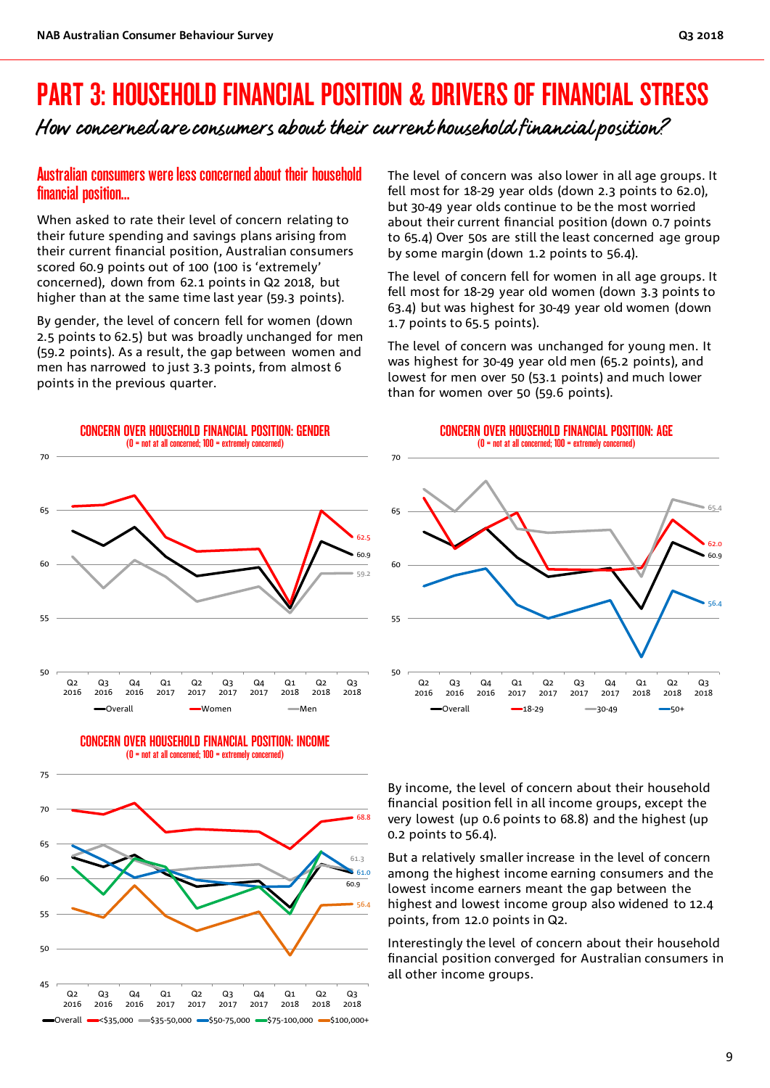# PART 3: HOUSEHOLD FINANCIAL POSITION & DRIVERS OF FINANCIAL STRESS

How concerned are consumers about their current household financial position?

### Australian consumers were less concerned about their household financial position…

When asked to rate their level of concern relating to their future spending and savings plans arising from their current financial position, Australian consumers scored 60.9 points out of 100 (100 is 'extremely' concerned), down from 62.1 points in Q2 2018, but higher than at the same time last year (59.3 points).

By gender, the level of concern fell for women (down 2.5 points to 62.5) but was broadly unchanged for men (59.2 points). As a result, the gap between women and men has narrowed to just 3.3 points, from almost 6 points in the previous quarter.

The level of concern was also lower in all age groups. It fell most for 18-29 year olds (down 2.3 points to 62.0), but 30-49 year olds continue to be the most worried about their current financial position (down 0.7 points to 65.4) Over 50s are still the least concerned age group by some margin (down 1.2 points to 56.4).

The level of concern fell for women in all age groups. It fell most for 18-29 year old women (down 3.3 points to 63.4) but was highest for 30-49 year old women (down 1.7 points to 65.5 points).

The level of concern was unchanged for young men. It was highest for 30-49 year old men (65.2 points), and lowest for men over 50 (53.1 points) and much lower than for women over 50 (59.6 points).



45  $Q<sub>2</sub>$ 2016 Q3 2016  $Q_4$ 2016  $Q<sub>1</sub>$ 2017  $Q<sub>2</sub>$ 2017 Q3 2017  $Q_4$ 2017  $Q<sub>1</sub>$ 2018  $Q<sub>2</sub>$ 2018 Q3 2018  $\bullet$ Overall  $\bullet$  <\$35,000  $\bullet$  \$35-50,000  $\bullet$  \$50-75,000  $\bullet$  \$75-100,000  $\bullet$  \$100,000+ CONCERN OVER HOUSEHOLD FINANCIAL POSITION: AGE (0 = not at all concerned; 100 = extremely concerned)



By income, the level of concern about their household financial position fell in all income groups, except the very lowest (up 0.6 points to 68.8) and the highest (up 0.2 points to 56.4).

But a relatively smaller increase in the level of concern among the highest income earning consumers and the lowest income earners meant the gap between the highest and lowest income group also widened to 12.4 points, from 12.0 points in Q2.

Interestingly the level of concern about their household financial position converged for Australian consumers in all other income groups.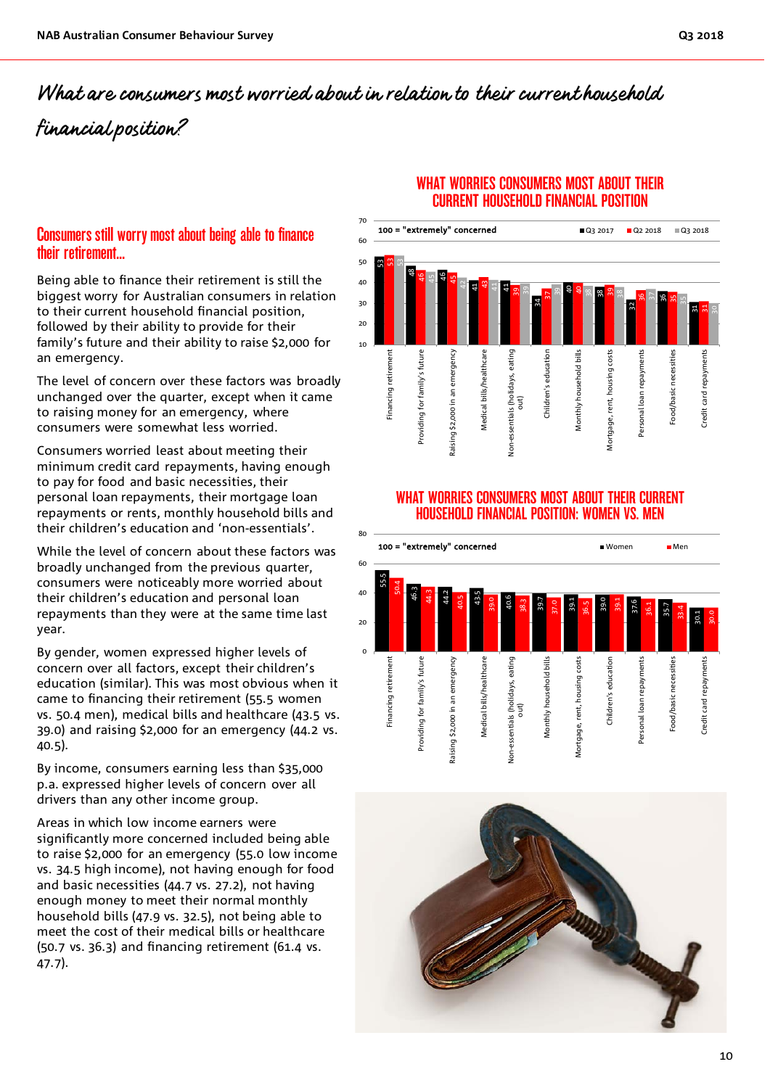# What are consumers most worried about in relation to their current household financial position?

### Consumers still worry most about being able to finance their retirement…

Being able to finance their retirement is still the biggest worry for Australian consumers in relation to their current household financial position, followed by their ability to provide for their family's future and their ability to raise \$2,000 for an emergency.

The level of concern over these factors was broadly unchanged over the quarter, except when it came to raising money for an emergency, where consumers were somewhat less worried.

Consumers worried least about meeting their minimum credit card repayments, having enough to pay for food and basic necessities, their personal loan repayments, their mortgage loan repayments or rents, monthly household bills and their children's education and 'non-essentials'.

While the level of concern about these factors was broadly unchanged from the previous quarter, consumers were noticeably more worried about their children's education and personal loan repayments than they were at the same time last year.

By gender, women expressed higher levels of concern over all factors, except their children's education (similar). This was most obvious when it came to financing their retirement (55.5 women vs. 50.4 men), medical bills and healthcare (43.5 vs. 39.0) and raising \$2,000 for an emergency (44.2 vs. 40.5).

By income, consumers earning less than \$35,000 p.a. expressed higher levels of concern over all drivers than any other income group.

Areas in which low income earners were significantly more concerned included being able to raise \$2,000 for an emergency (55.0 low income vs. 34.5 high income), not having enough for food and basic necessities (44.7 vs. 27.2), not having enough money to meet their normal monthly household bills (47.9 vs. 32.5), not being able to meet the cost of their medical bills or healthcare (50.7 vs. 36.3) and financing retirement (61.4 vs. 47.7).

### WHAT WORRIES CONSUMERS MOST ABOUT THEIR CURRENT HOUSEHOLD FINANCIAL POSITION



### WHAT WORRIES CONSUMERS MOST ABOUT THEIR CURRENT HOUSEHOLD FINANCIAL POSITION: WOMEN VS. MEN



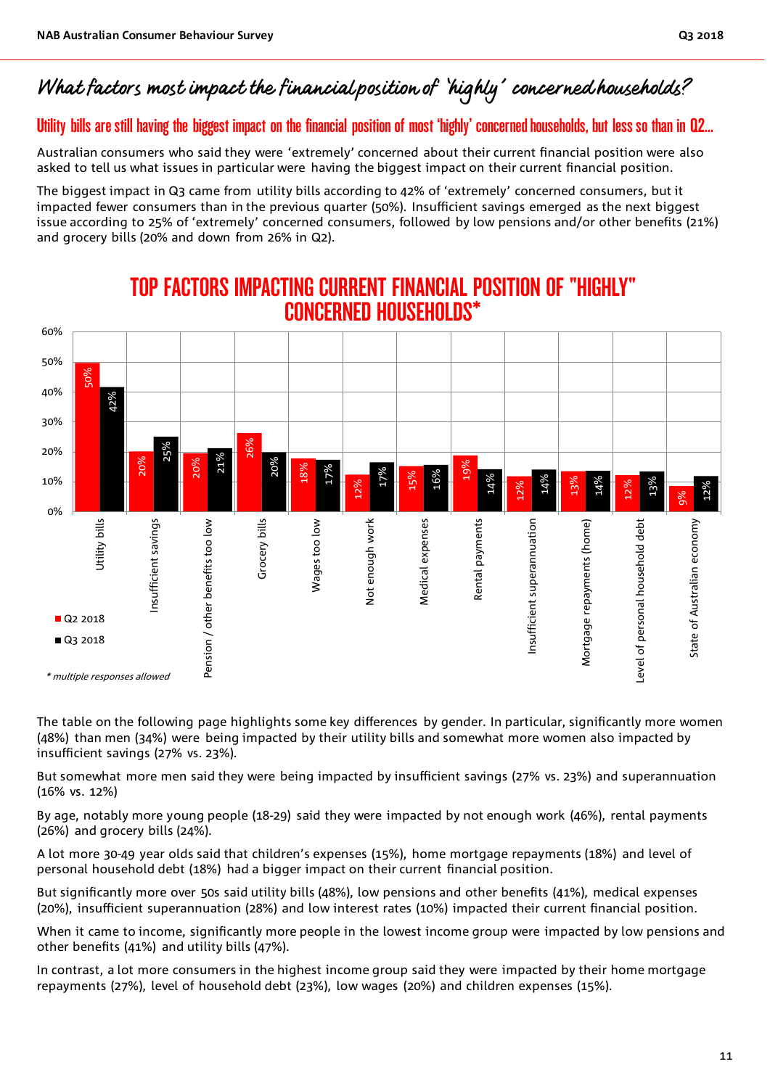# What factors most impact the financial position of 'highly' concerned households?

# Utility bills are still having the biggest impact on the financial position of most 'highly' concerned households, but less so than in Q2…

Australian consumers who said they were 'extremely' concerned about their current financial position were also asked to tell us what issues in particular were having the biggest impact on their current financial position.

The biggest impact in Q3 came from utility bills according to 42% of 'extremely' concerned consumers, but it impacted fewer consumers than in the previous quarter (50%). Insufficient savings emerged as the next biggest issue according to 25% of 'extremely' concerned consumers, followed by low pensions and/or other benefits (21%) and grocery bills (20% and down from 26% in Q2).



# TOP FACTORS IMPACTING CURRENT FINANCIAL POSITION OF "HIGHLY" CONCERNED HOUSEHOLDS\*

The table on the following page highlights some key differences by gender. In particular, significantly more women (48%) than men (34%) were being impacted by their utility bills and somewhat more women also impacted by insufficient savings (27% vs. 23%).

But somewhat more men said they were being impacted by insufficient savings (27% vs. 23%) and superannuation (16% vs. 12%)

By age, notably more young people (18-29) said they were impacted by not enough work (46%), rental payments (26%) and grocery bills (24%).

A lot more 30-49 year olds said that children's expenses (15%), home mortgage repayments (18%) and level of personal household debt (18%) had a bigger impact on their current financial position.

But significantly more over 50s said utility bills (48%), low pensions and other benefits (41%), medical expenses (20%), insufficient superannuation (28%) and low interest rates (10%) impacted their current financial position.

When it came to income, significantly more people in the lowest income group were impacted by low pensions and other benefits (41%) and utility bills (47%).

In contrast, a lot more consumers in the highest income group said they were impacted by their home mortgage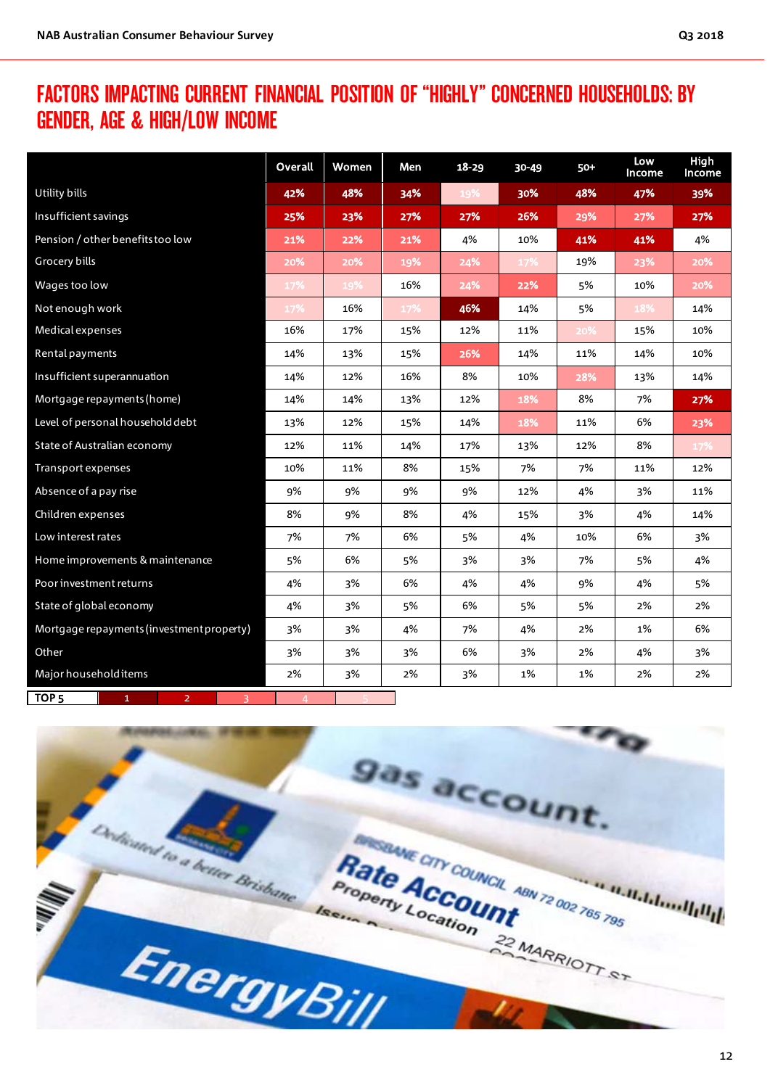# FACTORS IMPACTING CURRENT FINANCIAL POSITION OF "HIGHLY" CONCERNED HOUSEHOLDS: BY GENDER, AGE & HIGH/LOW INCOME

|                                                         | Overall | Women | Men | $18 - 29$ | $30 - 49$ | $50+$ | Low<br>Income | High<br>Income |
|---------------------------------------------------------|---------|-------|-----|-----------|-----------|-------|---------------|----------------|
| Utility bills                                           | 42%     | 48%   | 34% | 19%       | 30%       | 48%   | 47%           | 39%            |
| Insufficient savings                                    | 25%     | 23%   | 27% | 27%       | 26%       | 29%   | 27%           | 27%            |
| Pension / other benefits too low                        | 21%     | 22%   | 21% | 4%        | 10%       | 41%   | 41%           | 4%             |
| Grocery bills                                           | 20%     | 20%   | 19% | 24%       | 17%       | 19%   | 23%           | 20%            |
| Wages too low                                           | 17%     | 19%   | 16% | 24%       | 22%       | 5%    | 10%           | 20%            |
| Not enough work                                         | 17%     | 16%   | 17% | 46%       | 14%       | 5%    | 18%           | 14%            |
| Medical expenses                                        | 16%     | 17%   | 15% | 12%       | 11%       | 20%   | 15%           | 10%            |
| Rental payments                                         | 14%     | 13%   | 15% | 26%       | 14%       | 11%   | 14%           | 10%            |
| Insufficient superannuation                             | 14%     | 12%   | 16% | 8%        | 10%       | 28%   | 13%           | 14%            |
| Mortgage repayments (home)                              | 14%     | 14%   | 13% | 12%       | 18%       | 8%    | 7%            | 27%            |
| Level of personal household debt                        | 13%     | 12%   | 15% | 14%       | 18%       | 11%   | 6%            | 23%            |
| State of Australian economy                             | 12%     | 11%   | 14% | 17%       | 13%       | 12%   | 8%            | 17%            |
| Transport expenses                                      | 10%     | 11%   | 8%  | 15%       | 7%        | 7%    | 11%           | 12%            |
| Absence of a pay rise                                   | 9%      | 9%    | 9%  | 9%        | 12%       | 4%    | 3%            | 11%            |
| Children expenses                                       | 8%      | 9%    | 8%  | 4%        | 15%       | 3%    | 4%            | 14%            |
| Low interest rates                                      | 7%      | 7%    | 6%  | 5%        | 4%        | 10%   | 6%            | 3%             |
| Home improvements & maintenance                         | 5%      | 6%    | 5%  | 3%        | 3%        | 7%    | 5%            | 4%             |
| Poor investment returns                                 | 4%      | 3%    | 6%  | 4%        | 4%        | 9%    | 4%            | 5%             |
| State of global economy                                 | 4%      | 3%    | 5%  | 6%        | 5%        | 5%    | 2%            | 2%             |
| Mortgage repayments (investment property)               | 3%      | 3%    | 4%  | 7%        | 4%        | 2%    | 1%            | 6%             |
| Other                                                   | 3%      | 3%    | 3%  | 6%        | 3%        | 2%    | 4%            | 3%             |
| Major household items                                   | 2%      | 3%    | 2%  | 3%        | 1%        | 1%    | 2%            | 2%             |
| TOP <sub>5</sub><br>$\mathbf{1}$<br>$\overline{2}$<br>3 | 4       |       |     |           |           |       |               |                |

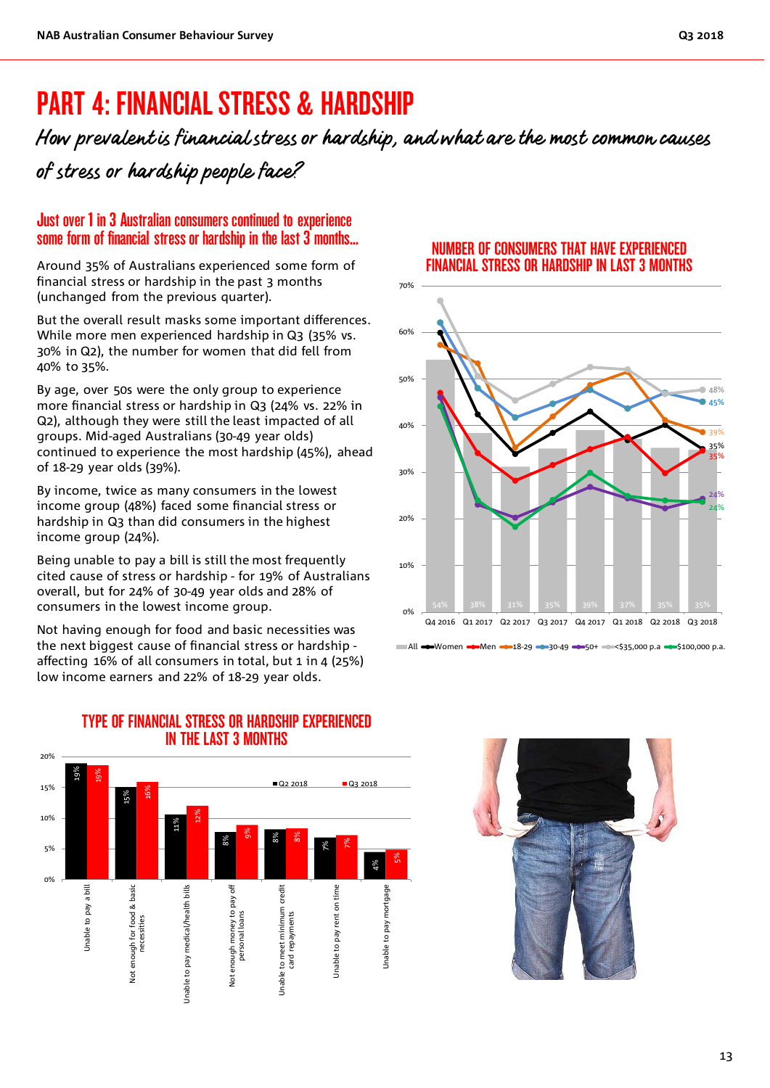# PART 4: FINANCIAL STRESS & HARDSHIP

How prevalent is financial stress or hardship, and what are the most common causes of stress or hardship people face?

## Just over 1 in 3 Australian consumers continued to experience some form of financial stress or hardship in the last 3 months…

Around 35% of Australians experienced some form of financial stress or hardship in the past 3 months (unchanged from the previous quarter).

But the overall result masks some important differences. While more men experienced hardship in Q3 (35% vs. 30% in Q2), the number for women that did fell from 40% to 35%.

By age, over 50s were the only group to experience more financial stress or hardship in Q3 (24% vs. 22% in Q2), although they were still the least impacted of all groups. Mid-aged Australians (30-49 year olds) continued to experience the most hardship (45%), ahead of 18-29 year olds (39%).

By income, twice as many consumers in the lowest income group (48%) faced some financial stress or hardship in Q3 than did consumers in the highest income group (24%).

Being unable to pay a bill is still the most frequently cited cause of stress or hardship - for 19% of Australians overall, but for 24% of 30-49 year olds and 28% of consumers in the lowest income group.

Not having enough for food and basic necessities was the next biggest cause of financial stress or hardship affecting 16% of all consumers in total, but 1 in 4 (25%) low income earners and 22% of 18-29 year olds.

### NUMBER OF CONSUMERS THAT HAVE EXPERIENCED FINANCIAL STRESS OR HARDSHIP IN LAST 3 MONTHS



# TYPE OF FINANCIAL STRESS OR HARDSHIP EXPERIENCED IN THE LAST 3 MONTHS